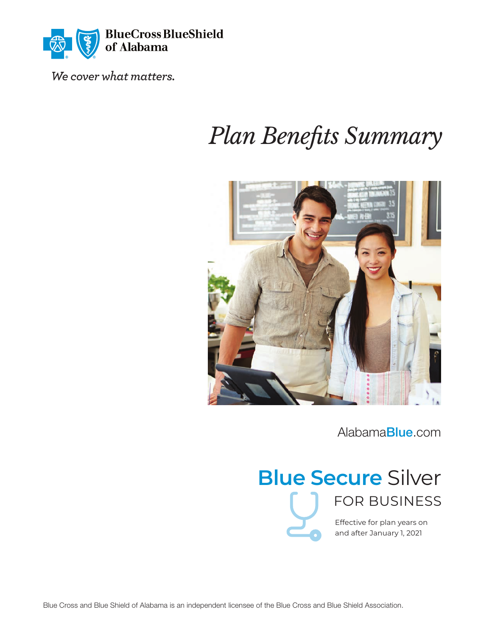

We cover what matters.

# *Plan Benets Summary*



[Alabama](http://Alabamablue.com/)Blue.com

# **Blue Secure** Silver FOR BUSINESS

Effective for plan years on and after January 1, 2021

Blue Cross and Blue Shield of Alabama is an independent licensee of the Blue Cross and Blue Shield Association.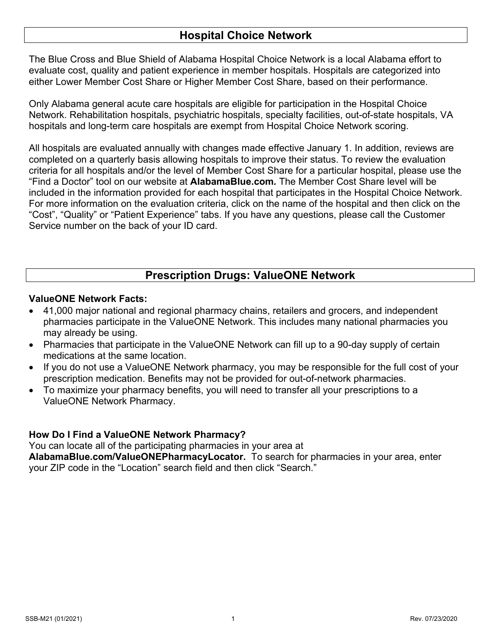### **Hospital Choice Network**

The Blue Cross and Blue Shield of Alabama Hospital Choice Network is a local Alabama effort to evaluate cost, quality and patient experience in member hospitals. Hospitals are categorized into either Lower Member Cost Share or Higher Member Cost Share, based on their performance.

Only Alabama general acute care hospitals are eligible for participation in the Hospital Choice Network. Rehabilitation hospitals, psychiatric hospitals, specialty facilities, out-of-state hospitals, VA hospitals and long-term care hospitals are exempt from Hospital Choice Network scoring.

All hospitals are evaluated annually with changes made effective January 1. In addition, reviews are completed on a quarterly basis allowing hospitals to improve their status. To review the evaluation criteria for all hospitals and/or the level of Member Cost Share for a particular hospital, please use the "Find a Doctor" tool on our website at **[AlabamaBlue.com](http://Alabamablue.com/)***.* The Member Cost Share level will be included in the information provided for each hospital that participates in the Hospital Choice Network. For more information on the evaluation criteria, click on the name of the hospital and then click on the "Cost", "Quality" or "Patient Experience" tabs. If you have any questions, please call the Customer Service number on the back of your ID card.

# **Prescription Drugs: ValueONE Network**

### **ValueONE Network Facts:**

- 41,000 major national and regional pharmacy chains, retailers and grocers, and independent pharmacies participate in the ValueONE Network. This includes many national pharmacies you may already be using.
- Pharmacies that participate in the ValueONE Network can fill up to a 90-day supply of certain medications at the same location.
- If you do not use a ValueONE Network pharmacy, you may be responsible for the full cost of your prescription medication. Benefits may not be provided for out-of-network pharmacies.
- To maximize your pharmacy benefits, you will need to transfer all your prescriptions to a ValueONE Network Pharmacy.

### **How Do I Find a ValueONE Network Pharmacy?**

You can locate all of the participating pharmacies in your area at

**[AlabamaBlue.com/ValueONEPharmacyLocator.](http://AlabamaBlue.com/ValueONEPharmacyLocator)** To search for pharmacies in your area, enter your ZIP code in the "Location" search field and then click "Search."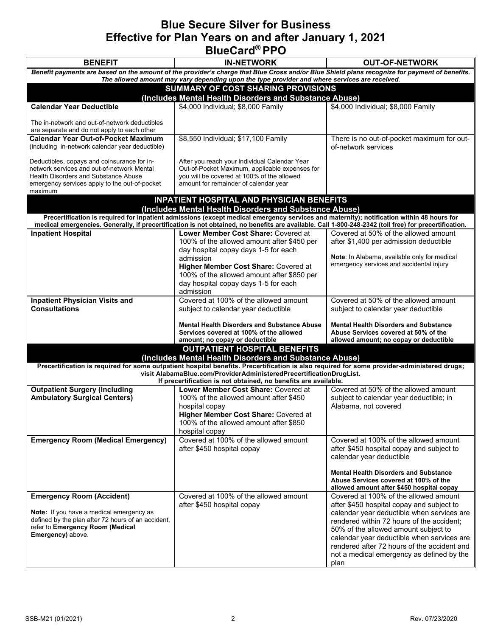## **Blue Secure Silver for Business Effective for Plan Years on and after January 1, 2021 BlueCard® PPO**

| <b>BENEFIT</b><br><b>IN-NETWORK</b><br><b>OUT-OF-NETWORK</b><br>Benefit payments are based on the amount of the provider's charge that Blue Cross and/or Blue Shield plans recognize for payment of benefits.<br>The allowed amount may vary depending upon the type provider and where services are received.<br><b>SUMMARY OF COST SHARING PROVISIONS</b><br>(Includes Mental Health Disorders and Substance Abuse)<br>\$4,000 Individual; \$8,000 Family<br><b>Calendar Year Deductible</b><br>\$4,000 Individual; \$8,000 Family<br>The in-network and out-of-network deductibles<br>are separate and do not apply to each other<br>\$8,550 Individual; \$17,100 Family<br><b>Calendar Year Out-of-Pocket Maximum</b><br>(including in-network calendar year deductible)<br>of-network services<br>Deductibles, copays and coinsurance for in-<br>After you reach your individual Calendar Year<br>network services and out-of-network Mental<br>Out-of-Pocket Maximum, applicable expenses for<br>you will be covered at 100% of the allowed<br><b>Health Disorders and Substance Abuse</b><br>amount for remainder of calendar year<br>emergency services apply to the out-of-pocket<br>maximum<br><b>INPATIENT HOSPITAL AND PHYSICIAN BENEFITS</b><br>(Includes Mental Health Disorders and Substance Abuse)<br>Precertification is required for inpatient admissions (except medical emergency services and maternity); notification within 48 hours for<br>medical emergencies. Generally, if precertification is not obtained, no benefits are available. Call 1-800-248-2342 (toll free) for precertification.<br><b>Inpatient Hospital</b><br>Lower Member Cost Share: Covered at<br>Covered at 50% of the allowed amount<br>100% of the allowed amount after \$450 per<br>after \$1,400 per admission deductible<br>day hospital copay days 1-5 for each<br>Note: In Alabama, available only for medical<br>admission<br>emergency services and accidental injury<br>Higher Member Cost Share: Covered at<br>100% of the allowed amount after \$850 per<br>day hospital copay days 1-5 for each<br>admission<br>Covered at 100% of the allowed amount<br>Covered at 50% of the allowed amount<br><b>Inpatient Physician Visits and</b><br><b>Consultations</b><br>subject to calendar year deductible<br>subject to calendar year deductible<br><b>Mental Health Disorders and Substance Abuse</b><br><b>Mental Health Disorders and Substance</b><br>Services covered at 100% of the allowed<br>Abuse Services covered at 50% of the<br>amount; no copay or deductible<br>allowed amount; no copay or deductible<br><b>OUTPATIENT HOSPITAL BENEFITS</b><br>(Includes Mental Health Disorders and Substance Abuse)<br>Precertification is required for some outpatient hospital benefits. Precertification is also required for some provider-administered drugs;<br>visit AlabamaBlue.com/ProviderAdministeredPrecertificationDrugList.<br>If precertification is not obtained, no benefits are available.<br>Covered at 50% of the allowed amount<br><b>Outpatient Surgery (Including</b><br>Lower Member Cost Share: Covered at<br><b>Ambulatory Surgical Centers)</b><br>100% of the allowed amount after \$450<br>subject to calendar year deductible; in<br>Alabama, not covered<br>hospital copay<br>Higher Member Cost Share: Covered at<br>100% of the allowed amount after \$850<br>hospital copay<br><b>Emergency Room (Medical Emergency)</b><br>Covered at 100% of the allowed amount<br>after \$450 hospital copay<br>after \$450 hospital copay and subject to<br>calendar year deductible<br><b>Mental Health Disorders and Substance</b> |  | PIUVVUI I I V |                                                                                                                                                                                                                                   |  |
|------------------------------------------------------------------------------------------------------------------------------------------------------------------------------------------------------------------------------------------------------------------------------------------------------------------------------------------------------------------------------------------------------------------------------------------------------------------------------------------------------------------------------------------------------------------------------------------------------------------------------------------------------------------------------------------------------------------------------------------------------------------------------------------------------------------------------------------------------------------------------------------------------------------------------------------------------------------------------------------------------------------------------------------------------------------------------------------------------------------------------------------------------------------------------------------------------------------------------------------------------------------------------------------------------------------------------------------------------------------------------------------------------------------------------------------------------------------------------------------------------------------------------------------------------------------------------------------------------------------------------------------------------------------------------------------------------------------------------------------------------------------------------------------------------------------------------------------------------------------------------------------------------------------------------------------------------------------------------------------------------------------------------------------------------------------------------------------------------------------------------------------------------------------------------------------------------------------------------------------------------------------------------------------------------------------------------------------------------------------------------------------------------------------------------------------------------------------------------------------------------------------------------------------------------------------------------------------------------------------------------------------------------------------------------------------------------------------------------------------------------------------------------------------------------------------------------------------------------------------------------------------------------------------------------------------------------------------------------------------------------------------------------------------------------------------------------------------------------------------------------------------------------------------------------------------------------------------------------------------------------------------------------------------------------------------------------------------------------------------------------------------------------------------------------------------------------------------------------------------------------------------------------------------------------------------------------------------------------------------------------------------------------------------------|--|---------------|-----------------------------------------------------------------------------------------------------------------------------------------------------------------------------------------------------------------------------------|--|
|                                                                                                                                                                                                                                                                                                                                                                                                                                                                                                                                                                                                                                                                                                                                                                                                                                                                                                                                                                                                                                                                                                                                                                                                                                                                                                                                                                                                                                                                                                                                                                                                                                                                                                                                                                                                                                                                                                                                                                                                                                                                                                                                                                                                                                                                                                                                                                                                                                                                                                                                                                                                                                                                                                                                                                                                                                                                                                                                                                                                                                                                                                                                                                                                                                                                                                                                                                                                                                                                                                                                                                                                                                                                        |  |               |                                                                                                                                                                                                                                   |  |
|                                                                                                                                                                                                                                                                                                                                                                                                                                                                                                                                                                                                                                                                                                                                                                                                                                                                                                                                                                                                                                                                                                                                                                                                                                                                                                                                                                                                                                                                                                                                                                                                                                                                                                                                                                                                                                                                                                                                                                                                                                                                                                                                                                                                                                                                                                                                                                                                                                                                                                                                                                                                                                                                                                                                                                                                                                                                                                                                                                                                                                                                                                                                                                                                                                                                                                                                                                                                                                                                                                                                                                                                                                                                        |  |               |                                                                                                                                                                                                                                   |  |
|                                                                                                                                                                                                                                                                                                                                                                                                                                                                                                                                                                                                                                                                                                                                                                                                                                                                                                                                                                                                                                                                                                                                                                                                                                                                                                                                                                                                                                                                                                                                                                                                                                                                                                                                                                                                                                                                                                                                                                                                                                                                                                                                                                                                                                                                                                                                                                                                                                                                                                                                                                                                                                                                                                                                                                                                                                                                                                                                                                                                                                                                                                                                                                                                                                                                                                                                                                                                                                                                                                                                                                                                                                                                        |  |               |                                                                                                                                                                                                                                   |  |
|                                                                                                                                                                                                                                                                                                                                                                                                                                                                                                                                                                                                                                                                                                                                                                                                                                                                                                                                                                                                                                                                                                                                                                                                                                                                                                                                                                                                                                                                                                                                                                                                                                                                                                                                                                                                                                                                                                                                                                                                                                                                                                                                                                                                                                                                                                                                                                                                                                                                                                                                                                                                                                                                                                                                                                                                                                                                                                                                                                                                                                                                                                                                                                                                                                                                                                                                                                                                                                                                                                                                                                                                                                                                        |  |               |                                                                                                                                                                                                                                   |  |
|                                                                                                                                                                                                                                                                                                                                                                                                                                                                                                                                                                                                                                                                                                                                                                                                                                                                                                                                                                                                                                                                                                                                                                                                                                                                                                                                                                                                                                                                                                                                                                                                                                                                                                                                                                                                                                                                                                                                                                                                                                                                                                                                                                                                                                                                                                                                                                                                                                                                                                                                                                                                                                                                                                                                                                                                                                                                                                                                                                                                                                                                                                                                                                                                                                                                                                                                                                                                                                                                                                                                                                                                                                                                        |  |               |                                                                                                                                                                                                                                   |  |
|                                                                                                                                                                                                                                                                                                                                                                                                                                                                                                                                                                                                                                                                                                                                                                                                                                                                                                                                                                                                                                                                                                                                                                                                                                                                                                                                                                                                                                                                                                                                                                                                                                                                                                                                                                                                                                                                                                                                                                                                                                                                                                                                                                                                                                                                                                                                                                                                                                                                                                                                                                                                                                                                                                                                                                                                                                                                                                                                                                                                                                                                                                                                                                                                                                                                                                                                                                                                                                                                                                                                                                                                                                                                        |  |               |                                                                                                                                                                                                                                   |  |
|                                                                                                                                                                                                                                                                                                                                                                                                                                                                                                                                                                                                                                                                                                                                                                                                                                                                                                                                                                                                                                                                                                                                                                                                                                                                                                                                                                                                                                                                                                                                                                                                                                                                                                                                                                                                                                                                                                                                                                                                                                                                                                                                                                                                                                                                                                                                                                                                                                                                                                                                                                                                                                                                                                                                                                                                                                                                                                                                                                                                                                                                                                                                                                                                                                                                                                                                                                                                                                                                                                                                                                                                                                                                        |  |               | There is no out-of-pocket maximum for out-                                                                                                                                                                                        |  |
|                                                                                                                                                                                                                                                                                                                                                                                                                                                                                                                                                                                                                                                                                                                                                                                                                                                                                                                                                                                                                                                                                                                                                                                                                                                                                                                                                                                                                                                                                                                                                                                                                                                                                                                                                                                                                                                                                                                                                                                                                                                                                                                                                                                                                                                                                                                                                                                                                                                                                                                                                                                                                                                                                                                                                                                                                                                                                                                                                                                                                                                                                                                                                                                                                                                                                                                                                                                                                                                                                                                                                                                                                                                                        |  |               |                                                                                                                                                                                                                                   |  |
|                                                                                                                                                                                                                                                                                                                                                                                                                                                                                                                                                                                                                                                                                                                                                                                                                                                                                                                                                                                                                                                                                                                                                                                                                                                                                                                                                                                                                                                                                                                                                                                                                                                                                                                                                                                                                                                                                                                                                                                                                                                                                                                                                                                                                                                                                                                                                                                                                                                                                                                                                                                                                                                                                                                                                                                                                                                                                                                                                                                                                                                                                                                                                                                                                                                                                                                                                                                                                                                                                                                                                                                                                                                                        |  |               |                                                                                                                                                                                                                                   |  |
|                                                                                                                                                                                                                                                                                                                                                                                                                                                                                                                                                                                                                                                                                                                                                                                                                                                                                                                                                                                                                                                                                                                                                                                                                                                                                                                                                                                                                                                                                                                                                                                                                                                                                                                                                                                                                                                                                                                                                                                                                                                                                                                                                                                                                                                                                                                                                                                                                                                                                                                                                                                                                                                                                                                                                                                                                                                                                                                                                                                                                                                                                                                                                                                                                                                                                                                                                                                                                                                                                                                                                                                                                                                                        |  |               |                                                                                                                                                                                                                                   |  |
|                                                                                                                                                                                                                                                                                                                                                                                                                                                                                                                                                                                                                                                                                                                                                                                                                                                                                                                                                                                                                                                                                                                                                                                                                                                                                                                                                                                                                                                                                                                                                                                                                                                                                                                                                                                                                                                                                                                                                                                                                                                                                                                                                                                                                                                                                                                                                                                                                                                                                                                                                                                                                                                                                                                                                                                                                                                                                                                                                                                                                                                                                                                                                                                                                                                                                                                                                                                                                                                                                                                                                                                                                                                                        |  |               |                                                                                                                                                                                                                                   |  |
|                                                                                                                                                                                                                                                                                                                                                                                                                                                                                                                                                                                                                                                                                                                                                                                                                                                                                                                                                                                                                                                                                                                                                                                                                                                                                                                                                                                                                                                                                                                                                                                                                                                                                                                                                                                                                                                                                                                                                                                                                                                                                                                                                                                                                                                                                                                                                                                                                                                                                                                                                                                                                                                                                                                                                                                                                                                                                                                                                                                                                                                                                                                                                                                                                                                                                                                                                                                                                                                                                                                                                                                                                                                                        |  |               |                                                                                                                                                                                                                                   |  |
|                                                                                                                                                                                                                                                                                                                                                                                                                                                                                                                                                                                                                                                                                                                                                                                                                                                                                                                                                                                                                                                                                                                                                                                                                                                                                                                                                                                                                                                                                                                                                                                                                                                                                                                                                                                                                                                                                                                                                                                                                                                                                                                                                                                                                                                                                                                                                                                                                                                                                                                                                                                                                                                                                                                                                                                                                                                                                                                                                                                                                                                                                                                                                                                                                                                                                                                                                                                                                                                                                                                                                                                                                                                                        |  |               |                                                                                                                                                                                                                                   |  |
|                                                                                                                                                                                                                                                                                                                                                                                                                                                                                                                                                                                                                                                                                                                                                                                                                                                                                                                                                                                                                                                                                                                                                                                                                                                                                                                                                                                                                                                                                                                                                                                                                                                                                                                                                                                                                                                                                                                                                                                                                                                                                                                                                                                                                                                                                                                                                                                                                                                                                                                                                                                                                                                                                                                                                                                                                                                                                                                                                                                                                                                                                                                                                                                                                                                                                                                                                                                                                                                                                                                                                                                                                                                                        |  |               |                                                                                                                                                                                                                                   |  |
|                                                                                                                                                                                                                                                                                                                                                                                                                                                                                                                                                                                                                                                                                                                                                                                                                                                                                                                                                                                                                                                                                                                                                                                                                                                                                                                                                                                                                                                                                                                                                                                                                                                                                                                                                                                                                                                                                                                                                                                                                                                                                                                                                                                                                                                                                                                                                                                                                                                                                                                                                                                                                                                                                                                                                                                                                                                                                                                                                                                                                                                                                                                                                                                                                                                                                                                                                                                                                                                                                                                                                                                                                                                                        |  |               |                                                                                                                                                                                                                                   |  |
|                                                                                                                                                                                                                                                                                                                                                                                                                                                                                                                                                                                                                                                                                                                                                                                                                                                                                                                                                                                                                                                                                                                                                                                                                                                                                                                                                                                                                                                                                                                                                                                                                                                                                                                                                                                                                                                                                                                                                                                                                                                                                                                                                                                                                                                                                                                                                                                                                                                                                                                                                                                                                                                                                                                                                                                                                                                                                                                                                                                                                                                                                                                                                                                                                                                                                                                                                                                                                                                                                                                                                                                                                                                                        |  |               |                                                                                                                                                                                                                                   |  |
|                                                                                                                                                                                                                                                                                                                                                                                                                                                                                                                                                                                                                                                                                                                                                                                                                                                                                                                                                                                                                                                                                                                                                                                                                                                                                                                                                                                                                                                                                                                                                                                                                                                                                                                                                                                                                                                                                                                                                                                                                                                                                                                                                                                                                                                                                                                                                                                                                                                                                                                                                                                                                                                                                                                                                                                                                                                                                                                                                                                                                                                                                                                                                                                                                                                                                                                                                                                                                                                                                                                                                                                                                                                                        |  |               |                                                                                                                                                                                                                                   |  |
|                                                                                                                                                                                                                                                                                                                                                                                                                                                                                                                                                                                                                                                                                                                                                                                                                                                                                                                                                                                                                                                                                                                                                                                                                                                                                                                                                                                                                                                                                                                                                                                                                                                                                                                                                                                                                                                                                                                                                                                                                                                                                                                                                                                                                                                                                                                                                                                                                                                                                                                                                                                                                                                                                                                                                                                                                                                                                                                                                                                                                                                                                                                                                                                                                                                                                                                                                                                                                                                                                                                                                                                                                                                                        |  |               |                                                                                                                                                                                                                                   |  |
|                                                                                                                                                                                                                                                                                                                                                                                                                                                                                                                                                                                                                                                                                                                                                                                                                                                                                                                                                                                                                                                                                                                                                                                                                                                                                                                                                                                                                                                                                                                                                                                                                                                                                                                                                                                                                                                                                                                                                                                                                                                                                                                                                                                                                                                                                                                                                                                                                                                                                                                                                                                                                                                                                                                                                                                                                                                                                                                                                                                                                                                                                                                                                                                                                                                                                                                                                                                                                                                                                                                                                                                                                                                                        |  |               |                                                                                                                                                                                                                                   |  |
|                                                                                                                                                                                                                                                                                                                                                                                                                                                                                                                                                                                                                                                                                                                                                                                                                                                                                                                                                                                                                                                                                                                                                                                                                                                                                                                                                                                                                                                                                                                                                                                                                                                                                                                                                                                                                                                                                                                                                                                                                                                                                                                                                                                                                                                                                                                                                                                                                                                                                                                                                                                                                                                                                                                                                                                                                                                                                                                                                                                                                                                                                                                                                                                                                                                                                                                                                                                                                                                                                                                                                                                                                                                                        |  |               |                                                                                                                                                                                                                                   |  |
|                                                                                                                                                                                                                                                                                                                                                                                                                                                                                                                                                                                                                                                                                                                                                                                                                                                                                                                                                                                                                                                                                                                                                                                                                                                                                                                                                                                                                                                                                                                                                                                                                                                                                                                                                                                                                                                                                                                                                                                                                                                                                                                                                                                                                                                                                                                                                                                                                                                                                                                                                                                                                                                                                                                                                                                                                                                                                                                                                                                                                                                                                                                                                                                                                                                                                                                                                                                                                                                                                                                                                                                                                                                                        |  |               |                                                                                                                                                                                                                                   |  |
|                                                                                                                                                                                                                                                                                                                                                                                                                                                                                                                                                                                                                                                                                                                                                                                                                                                                                                                                                                                                                                                                                                                                                                                                                                                                                                                                                                                                                                                                                                                                                                                                                                                                                                                                                                                                                                                                                                                                                                                                                                                                                                                                                                                                                                                                                                                                                                                                                                                                                                                                                                                                                                                                                                                                                                                                                                                                                                                                                                                                                                                                                                                                                                                                                                                                                                                                                                                                                                                                                                                                                                                                                                                                        |  |               |                                                                                                                                                                                                                                   |  |
|                                                                                                                                                                                                                                                                                                                                                                                                                                                                                                                                                                                                                                                                                                                                                                                                                                                                                                                                                                                                                                                                                                                                                                                                                                                                                                                                                                                                                                                                                                                                                                                                                                                                                                                                                                                                                                                                                                                                                                                                                                                                                                                                                                                                                                                                                                                                                                                                                                                                                                                                                                                                                                                                                                                                                                                                                                                                                                                                                                                                                                                                                                                                                                                                                                                                                                                                                                                                                                                                                                                                                                                                                                                                        |  |               |                                                                                                                                                                                                                                   |  |
|                                                                                                                                                                                                                                                                                                                                                                                                                                                                                                                                                                                                                                                                                                                                                                                                                                                                                                                                                                                                                                                                                                                                                                                                                                                                                                                                                                                                                                                                                                                                                                                                                                                                                                                                                                                                                                                                                                                                                                                                                                                                                                                                                                                                                                                                                                                                                                                                                                                                                                                                                                                                                                                                                                                                                                                                                                                                                                                                                                                                                                                                                                                                                                                                                                                                                                                                                                                                                                                                                                                                                                                                                                                                        |  |               |                                                                                                                                                                                                                                   |  |
|                                                                                                                                                                                                                                                                                                                                                                                                                                                                                                                                                                                                                                                                                                                                                                                                                                                                                                                                                                                                                                                                                                                                                                                                                                                                                                                                                                                                                                                                                                                                                                                                                                                                                                                                                                                                                                                                                                                                                                                                                                                                                                                                                                                                                                                                                                                                                                                                                                                                                                                                                                                                                                                                                                                                                                                                                                                                                                                                                                                                                                                                                                                                                                                                                                                                                                                                                                                                                                                                                                                                                                                                                                                                        |  |               |                                                                                                                                                                                                                                   |  |
|                                                                                                                                                                                                                                                                                                                                                                                                                                                                                                                                                                                                                                                                                                                                                                                                                                                                                                                                                                                                                                                                                                                                                                                                                                                                                                                                                                                                                                                                                                                                                                                                                                                                                                                                                                                                                                                                                                                                                                                                                                                                                                                                                                                                                                                                                                                                                                                                                                                                                                                                                                                                                                                                                                                                                                                                                                                                                                                                                                                                                                                                                                                                                                                                                                                                                                                                                                                                                                                                                                                                                                                                                                                                        |  |               | Covered at 100% of the allowed amount                                                                                                                                                                                             |  |
| allowed amount after \$450 hospital copay                                                                                                                                                                                                                                                                                                                                                                                                                                                                                                                                                                                                                                                                                                                                                                                                                                                                                                                                                                                                                                                                                                                                                                                                                                                                                                                                                                                                                                                                                                                                                                                                                                                                                                                                                                                                                                                                                                                                                                                                                                                                                                                                                                                                                                                                                                                                                                                                                                                                                                                                                                                                                                                                                                                                                                                                                                                                                                                                                                                                                                                                                                                                                                                                                                                                                                                                                                                                                                                                                                                                                                                                                              |  |               | Abuse Services covered at 100% of the                                                                                                                                                                                             |  |
| Covered at 100% of the allowed amount<br><b>Emergency Room (Accident)</b>                                                                                                                                                                                                                                                                                                                                                                                                                                                                                                                                                                                                                                                                                                                                                                                                                                                                                                                                                                                                                                                                                                                                                                                                                                                                                                                                                                                                                                                                                                                                                                                                                                                                                                                                                                                                                                                                                                                                                                                                                                                                                                                                                                                                                                                                                                                                                                                                                                                                                                                                                                                                                                                                                                                                                                                                                                                                                                                                                                                                                                                                                                                                                                                                                                                                                                                                                                                                                                                                                                                                                                                              |  |               | Covered at 100% of the allowed amount                                                                                                                                                                                             |  |
| after \$450 hospital copay and subject to<br>after \$450 hospital copay<br>Note: If you have a medical emergency as<br>defined by the plan after 72 hours of an accident,<br>refer to Emergency Room (Medical<br>50% of the allowed amount subject to<br>Emergency) above.<br>plan                                                                                                                                                                                                                                                                                                                                                                                                                                                                                                                                                                                                                                                                                                                                                                                                                                                                                                                                                                                                                                                                                                                                                                                                                                                                                                                                                                                                                                                                                                                                                                                                                                                                                                                                                                                                                                                                                                                                                                                                                                                                                                                                                                                                                                                                                                                                                                                                                                                                                                                                                                                                                                                                                                                                                                                                                                                                                                                                                                                                                                                                                                                                                                                                                                                                                                                                                                                     |  |               | calendar year deductible when services are<br>rendered within 72 hours of the accident:<br>calendar year deductible when services are<br>rendered after 72 hours of the accident and<br>not a medical emergency as defined by the |  |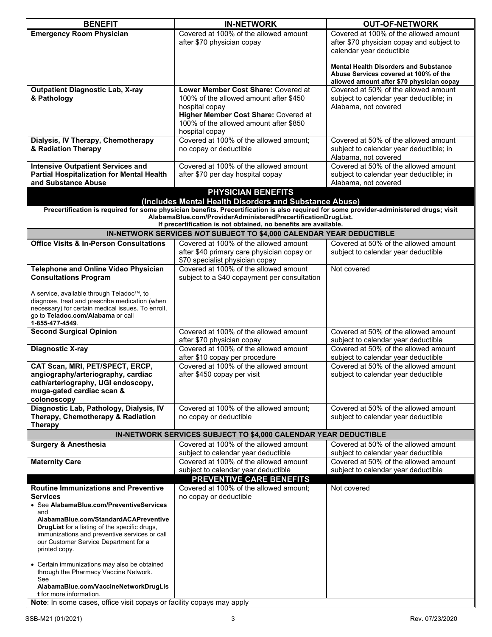| <b>BENEFIT</b>                                                                                                                                                                                                                                                          | <b>IN-NETWORK</b>                                                                                                                                                                                                                                                           | <b>OUT-OF-NETWORK</b>                                                                                                              |
|-------------------------------------------------------------------------------------------------------------------------------------------------------------------------------------------------------------------------------------------------------------------------|-----------------------------------------------------------------------------------------------------------------------------------------------------------------------------------------------------------------------------------------------------------------------------|------------------------------------------------------------------------------------------------------------------------------------|
| <b>Emergency Room Physician</b>                                                                                                                                                                                                                                         | Covered at 100% of the allowed amount<br>after \$70 physician copay                                                                                                                                                                                                         | Covered at 100% of the allowed amount<br>after \$70 physician copay and subject to<br>calendar year deductible                     |
|                                                                                                                                                                                                                                                                         |                                                                                                                                                                                                                                                                             | <b>Mental Health Disorders and Substance</b><br>Abuse Services covered at 100% of the<br>allowed amount after \$70 physician copay |
| <b>Outpatient Diagnostic Lab, X-ray</b>                                                                                                                                                                                                                                 | Lower Member Cost Share: Covered at                                                                                                                                                                                                                                         | Covered at 50% of the allowed amount                                                                                               |
| & Pathology                                                                                                                                                                                                                                                             | 100% of the allowed amount after \$450<br>hospital copay<br>Higher Member Cost Share: Covered at<br>100% of the allowed amount after \$850                                                                                                                                  | subject to calendar year deductible; in<br>Alabama, not covered                                                                    |
|                                                                                                                                                                                                                                                                         | hospital copay                                                                                                                                                                                                                                                              |                                                                                                                                    |
| Dialysis, IV Therapy, Chemotherapy                                                                                                                                                                                                                                      | Covered at 100% of the allowed amount;                                                                                                                                                                                                                                      | Covered at 50% of the allowed amount                                                                                               |
| & Radiation Therapy                                                                                                                                                                                                                                                     | no copay or deductible                                                                                                                                                                                                                                                      | subject to calendar year deductible; in<br>Alabama, not covered                                                                    |
| <b>Intensive Outpatient Services and</b>                                                                                                                                                                                                                                | Covered at 100% of the allowed amount                                                                                                                                                                                                                                       | Covered at 50% of the allowed amount                                                                                               |
| <b>Partial Hospitalization for Mental Health</b><br>and Substance Abuse                                                                                                                                                                                                 | after \$70 per day hospital copay                                                                                                                                                                                                                                           | subject to calendar year deductible; in<br>Alabama, not covered                                                                    |
|                                                                                                                                                                                                                                                                         | <b>PHYSICIAN BENEFITS</b>                                                                                                                                                                                                                                                   |                                                                                                                                    |
|                                                                                                                                                                                                                                                                         | (Includes Mental Health Disorders and Substance Abuse)                                                                                                                                                                                                                      |                                                                                                                                    |
|                                                                                                                                                                                                                                                                         | Precertification is required for some physician benefits. Precertification is also required for some provider-administered drugs; visit<br>AlabamaBlue.com/ProviderAdministeredPrecertificationDrugList.<br>If precertification is not obtained, no benefits are available. |                                                                                                                                    |
|                                                                                                                                                                                                                                                                         | IN-NETWORK SERVICES NOT SUBJECT TO \$4,000 CALENDAR YEAR DEDUCTIBLE                                                                                                                                                                                                         |                                                                                                                                    |
| <b>Office Visits &amp; In-Person Consultations</b>                                                                                                                                                                                                                      | Covered at 100% of the allowed amount                                                                                                                                                                                                                                       | Covered at 50% of the allowed amount                                                                                               |
|                                                                                                                                                                                                                                                                         | after \$40 primary care physician copay or<br>\$70 specialist physician copay                                                                                                                                                                                               | subject to calendar year deductible                                                                                                |
| <b>Telephone and Online Video Physician</b><br><b>Consultations Program</b>                                                                                                                                                                                             | Covered at 100% of the allowed amount<br>subject to a \$40 copayment per consultation                                                                                                                                                                                       | Not covered                                                                                                                        |
|                                                                                                                                                                                                                                                                         |                                                                                                                                                                                                                                                                             |                                                                                                                                    |
| A service, available through Teladoc™, to<br>diagnose, treat and prescribe medication (when<br>necessary) for certain medical issues. To enroll,<br>go to Teladoc.com/Alabama or call                                                                                   |                                                                                                                                                                                                                                                                             |                                                                                                                                    |
| 1-855-477-4549.                                                                                                                                                                                                                                                         |                                                                                                                                                                                                                                                                             |                                                                                                                                    |
| <b>Second Surgical Opinion</b>                                                                                                                                                                                                                                          | Covered at 100% of the allowed amount<br>after \$70 physician copay                                                                                                                                                                                                         | Covered at 50% of the allowed amount<br>subject to calendar year deductible                                                        |
| <b>Diagnostic X-ray</b>                                                                                                                                                                                                                                                 | Covered at 100% of the allowed amount                                                                                                                                                                                                                                       | Covered at 50% of the allowed amount                                                                                               |
|                                                                                                                                                                                                                                                                         | after \$10 copay per procedure                                                                                                                                                                                                                                              | subject to calendar year deductible                                                                                                |
| CAT Scan, MRI, PET/SPECT, ERCP,<br>angiography/arteriography, cardiac<br>cath/arteriography, UGI endoscopy,<br>muga-gated cardiac scan &<br>colonoscopy                                                                                                                 | Covered at 100% of the allowed amount<br>after \$450 copay per visit                                                                                                                                                                                                        | Covered at 50% of the allowed amount<br>subject to calendar year deductible                                                        |
| Diagnostic Lab, Pathology, Dialysis, IV                                                                                                                                                                                                                                 | Covered at 100% of the allowed amount;                                                                                                                                                                                                                                      | Covered at 50% of the allowed amount                                                                                               |
| Therapy, Chemotherapy & Radiation                                                                                                                                                                                                                                       | no copay or deductible                                                                                                                                                                                                                                                      | subject to calendar year deductible                                                                                                |
| <b>Therapy</b>                                                                                                                                                                                                                                                          | IN-NETWORK SERVICES SUBJECT TO \$4,000 CALENDAR YEAR DEDUCTIBLE                                                                                                                                                                                                             |                                                                                                                                    |
| <b>Surgery &amp; Anesthesia</b>                                                                                                                                                                                                                                         | Covered at 100% of the allowed amount                                                                                                                                                                                                                                       | Covered at 50% of the allowed amount                                                                                               |
|                                                                                                                                                                                                                                                                         | subject to calendar year deductible                                                                                                                                                                                                                                         | subject to calendar year deductible                                                                                                |
| <b>Maternity Care</b>                                                                                                                                                                                                                                                   | Covered at 100% of the allowed amount<br>subject to calendar year deductible                                                                                                                                                                                                | Covered at 50% of the allowed amount<br>subject to calendar year deductible                                                        |
|                                                                                                                                                                                                                                                                         | <b>PREVENTIVE CARE BENEFITS</b>                                                                                                                                                                                                                                             |                                                                                                                                    |
| <b>Routine Immunizations and Preventive</b>                                                                                                                                                                                                                             | Covered at 100% of the allowed amount:                                                                                                                                                                                                                                      | Not covered                                                                                                                        |
| <b>Services</b><br>• See AlabamaBlue.com/PreventiveServices<br>and<br>AlabamaBlue.com/StandardACAPreventive<br>DrugList for a listing of the specific drugs,<br>immunizations and preventive services or call<br>our Customer Service Department for a<br>printed copy. | no copay or deductible                                                                                                                                                                                                                                                      |                                                                                                                                    |
| • Certain immunizations may also be obtained<br>through the Pharmacy Vaccine Network.<br>See<br>AlabamaBlue.com/VaccineNetworkDrugLis<br><b>t</b> for more information.<br>Note: In some cases, office visit copays or facility copays may apply                        |                                                                                                                                                                                                                                                                             |                                                                                                                                    |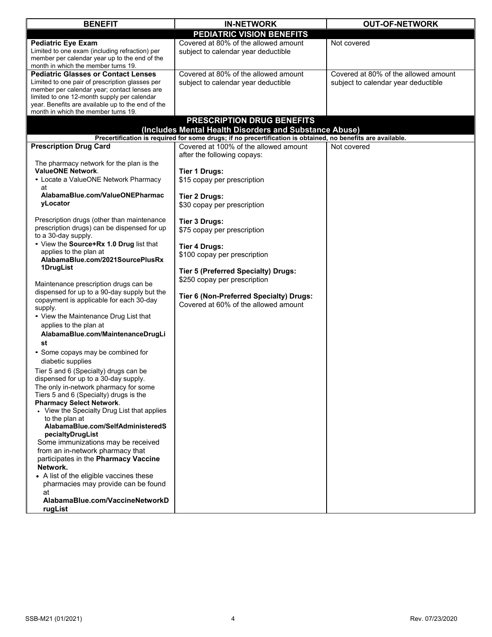| <b>BENEFIT</b>                                                                           | <b>IN-NETWORK</b>                                                                                           | <b>OUT-OF-NETWORK</b>                |
|------------------------------------------------------------------------------------------|-------------------------------------------------------------------------------------------------------------|--------------------------------------|
|                                                                                          | PEDIATRIC VISION BENEFITS                                                                                   |                                      |
| <b>Pediatric Eye Exam</b>                                                                | Covered at 80% of the allowed amount                                                                        | Not covered                          |
| Limited to one exam (including refraction) per                                           | subject to calendar year deductible                                                                         |                                      |
| member per calendar year up to the end of the<br>month in which the member turns 19.     |                                                                                                             |                                      |
| <b>Pediatric Glasses or Contact Lenses</b>                                               | Covered at 80% of the allowed amount                                                                        | Covered at 80% of the allowed amount |
| Limited to one pair of prescription glasses per                                          | subject to calendar year deductible                                                                         | subject to calendar year deductible  |
| member per calendar year; contact lenses are                                             |                                                                                                             |                                      |
| limited to one 12-month supply per calendar                                              |                                                                                                             |                                      |
| year. Benefits are available up to the end of the<br>month in which the member turns 19. |                                                                                                             |                                      |
|                                                                                          | PRESCRIPTION DRUG BENEFITS                                                                                  |                                      |
|                                                                                          | (Includes Mental Health Disorders and Substance Abuse)                                                      |                                      |
|                                                                                          | Precertification is required for some drugs; if no precertification is obtained, no benefits are available. |                                      |
| <b>Prescription Drug Card</b>                                                            | Covered at 100% of the allowed amount                                                                       | Not covered                          |
|                                                                                          | after the following copays:                                                                                 |                                      |
| The pharmacy network for the plan is the                                                 |                                                                                                             |                                      |
| <b>ValueONE Network.</b>                                                                 | <b>Tier 1 Drugs:</b>                                                                                        |                                      |
| • Locate a ValueONE Network Pharmacy                                                     | \$15 copay per prescription                                                                                 |                                      |
| at<br>AlabamaBlue.com/ValueONEPharmac                                                    |                                                                                                             |                                      |
| yLocator                                                                                 | Tier 2 Drugs:                                                                                               |                                      |
|                                                                                          | \$30 copay per prescription                                                                                 |                                      |
| Prescription drugs (other than maintenance                                               | <b>Tier 3 Drugs:</b>                                                                                        |                                      |
| prescription drugs) can be dispensed for up                                              | \$75 copay per prescription                                                                                 |                                      |
| to a 30-day supply.                                                                      |                                                                                                             |                                      |
| • View the Source+Rx 1.0 Drug list that                                                  | <b>Tier 4 Drugs:</b>                                                                                        |                                      |
| applies to the plan at                                                                   | \$100 copay per prescription                                                                                |                                      |
| AlabamaBlue.com/2021SourcePlusRx<br>1DrugList                                            |                                                                                                             |                                      |
|                                                                                          | <b>Tier 5 (Preferred Specialty) Drugs:</b>                                                                  |                                      |
| Maintenance prescription drugs can be                                                    | \$250 copay per prescription                                                                                |                                      |
| dispensed for up to a 90-day supply but the                                              |                                                                                                             |                                      |
| copayment is applicable for each 30-day                                                  | Tier 6 (Non-Preferred Specialty) Drugs:<br>Covered at 60% of the allowed amount                             |                                      |
| supply.                                                                                  |                                                                                                             |                                      |
| • View the Maintenance Drug List that                                                    |                                                                                                             |                                      |
| applies to the plan at                                                                   |                                                                                                             |                                      |
| AlabamaBlue.com/MaintenanceDrugLi                                                        |                                                                                                             |                                      |
| st                                                                                       |                                                                                                             |                                      |
| • Some copays may be combined for                                                        |                                                                                                             |                                      |
| diabetic supplies                                                                        |                                                                                                             |                                      |
| Tier 5 and 6 (Specialty) drugs can be<br>dispensed for up to a 30-day supply.            |                                                                                                             |                                      |
| The only in-network pharmacy for some                                                    |                                                                                                             |                                      |
| Tiers 5 and 6 (Specialty) drugs is the                                                   |                                                                                                             |                                      |
| <b>Pharmacy Select Network.</b>                                                          |                                                                                                             |                                      |
| • View the Specialty Drug List that applies                                              |                                                                                                             |                                      |
| to the plan at                                                                           |                                                                                                             |                                      |
| AlabamaBlue.com/SelfAdministeredS                                                        |                                                                                                             |                                      |
| pecialtyDrugList<br>Some immunizations may be received                                   |                                                                                                             |                                      |
| from an in-network pharmacy that                                                         |                                                                                                             |                                      |
| participates in the Pharmacy Vaccine                                                     |                                                                                                             |                                      |
| Network.                                                                                 |                                                                                                             |                                      |
| • A list of the eligible vaccines these                                                  |                                                                                                             |                                      |
| pharmacies may provide can be found                                                      |                                                                                                             |                                      |
| at                                                                                       |                                                                                                             |                                      |
| AlabamaBlue.com/VaccineNetworkD                                                          |                                                                                                             |                                      |
| rugList                                                                                  |                                                                                                             |                                      |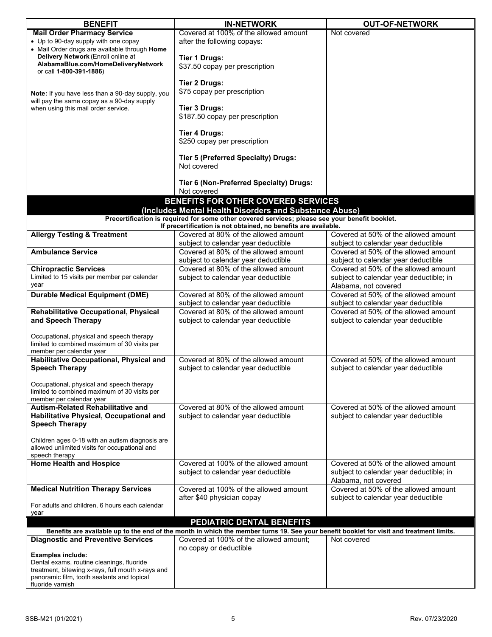| <b>Mail Order Pharmacy Service</b><br>Not covered<br>• Up to 90-day supply with one copay<br>after the following copays:<br>• Mail Order drugs are available through Home<br>Delivery Network (Enroll online at<br><b>Tier 1 Drugs:</b><br>AlabamaBlue.com/HomeDeliveryNetwork<br>\$37.50 copay per prescription<br>or call 1-800-391-1886)<br><b>Tier 2 Drugs:</b><br>\$75 copay per prescription<br>Note: If you have less than a 90-day supply, you<br>will pay the same copay as a 90-day supply<br><b>Tier 3 Drugs:</b><br>when using this mail order service.<br>\$187.50 copay per prescription<br><b>Tier 4 Drugs:</b><br>\$250 copay per prescription<br><b>Tier 5 (Preferred Specialty) Drugs:</b><br>Not covered<br>Tier 6 (Non-Preferred Specialty) Drugs:<br>Not covered<br>BENEFITS FOR OTHER COVERED SERVICES<br>(Includes Mental Health Disorders and Substance Abuse)<br>Precertification is required for some other covered services; please see your benefit booklet.<br>If precertification is not obtained, no benefits are available.<br><b>Allergy Testing &amp; Treatment</b><br>Covered at 50% of the allowed amount<br>Covered at 80% of the allowed amount<br>subject to calendar year deductible<br>subject to calendar year deductible<br>Covered at 80% of the allowed amount<br>Covered at 50% of the allowed amount<br><b>Ambulance Service</b><br>subject to calendar year deductible<br>subject to calendar year deductible<br>Covered at 80% of the allowed amount<br>Covered at 50% of the allowed amount<br><b>Chiropractic Services</b><br>Limited to 15 visits per member per calendar<br>subject to calendar year deductible<br>subject to calendar year deductible; in<br>year<br>Alabama, not covered<br>Covered at 50% of the allowed amount<br><b>Durable Medical Equipment (DME)</b><br>Covered at 80% of the allowed amount<br>subject to calendar year deductible<br>subject to calendar year deductible<br>Rehabilitative Occupational, Physical<br>Covered at 80% of the allowed amount<br>Covered at 50% of the allowed amount<br>and Speech Therapy<br>subject to calendar year deductible<br>subject to calendar year deductible<br>Occupational, physical and speech therapy<br>limited to combined maximum of 30 visits per<br>member per calendar year<br>Covered at 80% of the allowed amount<br>Covered at 50% of the allowed amount<br>Habilitative Occupational, Physical and<br><b>Speech Therapy</b><br>subject to calendar year deductible<br>subject to calendar year deductible<br>Occupational, physical and speech therapy<br>limited to combined maximum of 30 visits per<br>member per calendar year<br>Covered at 50% of the allowed amount<br><b>Autism-Related Rehabilitative and</b><br>Covered at 80% of the allowed amount<br>Habilitative Physical, Occupational and<br>subject to calendar year deductible<br>subject to calendar year deductible<br><b>Speech Therapy</b><br>Children ages 0-18 with an autism diagnosis are<br>allowed unlimited visits for occupational and<br>speech therapy<br><b>Home Health and Hospice</b><br>Covered at 100% of the allowed amount<br>Covered at 50% of the allowed amount<br>subject to calendar year deductible<br>subject to calendar year deductible; in<br>Alabama, not covered<br>Covered at 100% of the allowed amount<br>Covered at 50% of the allowed amount<br><b>Medical Nutrition Therapy Services</b><br>after \$40 physician copay<br>subject to calendar year deductible<br>For adults and children, 6 hours each calendar<br>year<br>PEDIATRIC DENTAL BENEFITS<br>Benefits are available up to the end of the month in which the member turns 19. See your benefit booklet for visit and treatment limits.<br><b>Diagnostic and Preventive Services</b><br>Covered at 100% of the allowed amount;<br>Not covered<br>no copay or deductible<br><b>Examples include:</b><br>Dental exams, routine cleanings, fluoride<br>treatment, bitewing x-rays, full mouth x-rays and<br>panoramic film, tooth sealants and topical | <b>BENEFIT</b>   | <b>IN-NETWORK</b>                     | <b>OUT-OF-NETWORK</b> |
|-------------------------------------------------------------------------------------------------------------------------------------------------------------------------------------------------------------------------------------------------------------------------------------------------------------------------------------------------------------------------------------------------------------------------------------------------------------------------------------------------------------------------------------------------------------------------------------------------------------------------------------------------------------------------------------------------------------------------------------------------------------------------------------------------------------------------------------------------------------------------------------------------------------------------------------------------------------------------------------------------------------------------------------------------------------------------------------------------------------------------------------------------------------------------------------------------------------------------------------------------------------------------------------------------------------------------------------------------------------------------------------------------------------------------------------------------------------------------------------------------------------------------------------------------------------------------------------------------------------------------------------------------------------------------------------------------------------------------------------------------------------------------------------------------------------------------------------------------------------------------------------------------------------------------------------------------------------------------------------------------------------------------------------------------------------------------------------------------------------------------------------------------------------------------------------------------------------------------------------------------------------------------------------------------------------------------------------------------------------------------------------------------------------------------------------------------------------------------------------------------------------------------------------------------------------------------------------------------------------------------------------------------------------------------------------------------------------------------------------------------------------------------------------------------------------------------------------------------------------------------------------------------------------------------------------------------------------------------------------------------------------------------------------------------------------------------------------------------------------------------------------------------------------------------------------------------------------------------------------------------------------------------------------------------------------------------------------------------------------------------------------------------------------------------------------------------------------------------------------------------------------------------------------------------------------------------------------------------------------------------------------------------------------------------------------------------------------------------------------------------------------------------------------------------------------------------------------------------------------------------------------------------------------------------------------------------------------------------------------------------------------------------------------------------------------|------------------|---------------------------------------|-----------------------|
|                                                                                                                                                                                                                                                                                                                                                                                                                                                                                                                                                                                                                                                                                                                                                                                                                                                                                                                                                                                                                                                                                                                                                                                                                                                                                                                                                                                                                                                                                                                                                                                                                                                                                                                                                                                                                                                                                                                                                                                                                                                                                                                                                                                                                                                                                                                                                                                                                                                                                                                                                                                                                                                                                                                                                                                                                                                                                                                                                                                                                                                                                                                                                                                                                                                                                                                                                                                                                                                                                                                                                                                                                                                                                                                                                                                                                                                                                                                                                                                                                                                             |                  | Covered at 100% of the allowed amount |                       |
|                                                                                                                                                                                                                                                                                                                                                                                                                                                                                                                                                                                                                                                                                                                                                                                                                                                                                                                                                                                                                                                                                                                                                                                                                                                                                                                                                                                                                                                                                                                                                                                                                                                                                                                                                                                                                                                                                                                                                                                                                                                                                                                                                                                                                                                                                                                                                                                                                                                                                                                                                                                                                                                                                                                                                                                                                                                                                                                                                                                                                                                                                                                                                                                                                                                                                                                                                                                                                                                                                                                                                                                                                                                                                                                                                                                                                                                                                                                                                                                                                                                             |                  |                                       |                       |
|                                                                                                                                                                                                                                                                                                                                                                                                                                                                                                                                                                                                                                                                                                                                                                                                                                                                                                                                                                                                                                                                                                                                                                                                                                                                                                                                                                                                                                                                                                                                                                                                                                                                                                                                                                                                                                                                                                                                                                                                                                                                                                                                                                                                                                                                                                                                                                                                                                                                                                                                                                                                                                                                                                                                                                                                                                                                                                                                                                                                                                                                                                                                                                                                                                                                                                                                                                                                                                                                                                                                                                                                                                                                                                                                                                                                                                                                                                                                                                                                                                                             |                  |                                       |                       |
|                                                                                                                                                                                                                                                                                                                                                                                                                                                                                                                                                                                                                                                                                                                                                                                                                                                                                                                                                                                                                                                                                                                                                                                                                                                                                                                                                                                                                                                                                                                                                                                                                                                                                                                                                                                                                                                                                                                                                                                                                                                                                                                                                                                                                                                                                                                                                                                                                                                                                                                                                                                                                                                                                                                                                                                                                                                                                                                                                                                                                                                                                                                                                                                                                                                                                                                                                                                                                                                                                                                                                                                                                                                                                                                                                                                                                                                                                                                                                                                                                                                             |                  |                                       |                       |
|                                                                                                                                                                                                                                                                                                                                                                                                                                                                                                                                                                                                                                                                                                                                                                                                                                                                                                                                                                                                                                                                                                                                                                                                                                                                                                                                                                                                                                                                                                                                                                                                                                                                                                                                                                                                                                                                                                                                                                                                                                                                                                                                                                                                                                                                                                                                                                                                                                                                                                                                                                                                                                                                                                                                                                                                                                                                                                                                                                                                                                                                                                                                                                                                                                                                                                                                                                                                                                                                                                                                                                                                                                                                                                                                                                                                                                                                                                                                                                                                                                                             |                  |                                       |                       |
|                                                                                                                                                                                                                                                                                                                                                                                                                                                                                                                                                                                                                                                                                                                                                                                                                                                                                                                                                                                                                                                                                                                                                                                                                                                                                                                                                                                                                                                                                                                                                                                                                                                                                                                                                                                                                                                                                                                                                                                                                                                                                                                                                                                                                                                                                                                                                                                                                                                                                                                                                                                                                                                                                                                                                                                                                                                                                                                                                                                                                                                                                                                                                                                                                                                                                                                                                                                                                                                                                                                                                                                                                                                                                                                                                                                                                                                                                                                                                                                                                                                             |                  |                                       |                       |
|                                                                                                                                                                                                                                                                                                                                                                                                                                                                                                                                                                                                                                                                                                                                                                                                                                                                                                                                                                                                                                                                                                                                                                                                                                                                                                                                                                                                                                                                                                                                                                                                                                                                                                                                                                                                                                                                                                                                                                                                                                                                                                                                                                                                                                                                                                                                                                                                                                                                                                                                                                                                                                                                                                                                                                                                                                                                                                                                                                                                                                                                                                                                                                                                                                                                                                                                                                                                                                                                                                                                                                                                                                                                                                                                                                                                                                                                                                                                                                                                                                                             |                  |                                       |                       |
|                                                                                                                                                                                                                                                                                                                                                                                                                                                                                                                                                                                                                                                                                                                                                                                                                                                                                                                                                                                                                                                                                                                                                                                                                                                                                                                                                                                                                                                                                                                                                                                                                                                                                                                                                                                                                                                                                                                                                                                                                                                                                                                                                                                                                                                                                                                                                                                                                                                                                                                                                                                                                                                                                                                                                                                                                                                                                                                                                                                                                                                                                                                                                                                                                                                                                                                                                                                                                                                                                                                                                                                                                                                                                                                                                                                                                                                                                                                                                                                                                                                             |                  |                                       |                       |
|                                                                                                                                                                                                                                                                                                                                                                                                                                                                                                                                                                                                                                                                                                                                                                                                                                                                                                                                                                                                                                                                                                                                                                                                                                                                                                                                                                                                                                                                                                                                                                                                                                                                                                                                                                                                                                                                                                                                                                                                                                                                                                                                                                                                                                                                                                                                                                                                                                                                                                                                                                                                                                                                                                                                                                                                                                                                                                                                                                                                                                                                                                                                                                                                                                                                                                                                                                                                                                                                                                                                                                                                                                                                                                                                                                                                                                                                                                                                                                                                                                                             |                  |                                       |                       |
|                                                                                                                                                                                                                                                                                                                                                                                                                                                                                                                                                                                                                                                                                                                                                                                                                                                                                                                                                                                                                                                                                                                                                                                                                                                                                                                                                                                                                                                                                                                                                                                                                                                                                                                                                                                                                                                                                                                                                                                                                                                                                                                                                                                                                                                                                                                                                                                                                                                                                                                                                                                                                                                                                                                                                                                                                                                                                                                                                                                                                                                                                                                                                                                                                                                                                                                                                                                                                                                                                                                                                                                                                                                                                                                                                                                                                                                                                                                                                                                                                                                             |                  |                                       |                       |
|                                                                                                                                                                                                                                                                                                                                                                                                                                                                                                                                                                                                                                                                                                                                                                                                                                                                                                                                                                                                                                                                                                                                                                                                                                                                                                                                                                                                                                                                                                                                                                                                                                                                                                                                                                                                                                                                                                                                                                                                                                                                                                                                                                                                                                                                                                                                                                                                                                                                                                                                                                                                                                                                                                                                                                                                                                                                                                                                                                                                                                                                                                                                                                                                                                                                                                                                                                                                                                                                                                                                                                                                                                                                                                                                                                                                                                                                                                                                                                                                                                                             |                  |                                       |                       |
|                                                                                                                                                                                                                                                                                                                                                                                                                                                                                                                                                                                                                                                                                                                                                                                                                                                                                                                                                                                                                                                                                                                                                                                                                                                                                                                                                                                                                                                                                                                                                                                                                                                                                                                                                                                                                                                                                                                                                                                                                                                                                                                                                                                                                                                                                                                                                                                                                                                                                                                                                                                                                                                                                                                                                                                                                                                                                                                                                                                                                                                                                                                                                                                                                                                                                                                                                                                                                                                                                                                                                                                                                                                                                                                                                                                                                                                                                                                                                                                                                                                             |                  |                                       |                       |
|                                                                                                                                                                                                                                                                                                                                                                                                                                                                                                                                                                                                                                                                                                                                                                                                                                                                                                                                                                                                                                                                                                                                                                                                                                                                                                                                                                                                                                                                                                                                                                                                                                                                                                                                                                                                                                                                                                                                                                                                                                                                                                                                                                                                                                                                                                                                                                                                                                                                                                                                                                                                                                                                                                                                                                                                                                                                                                                                                                                                                                                                                                                                                                                                                                                                                                                                                                                                                                                                                                                                                                                                                                                                                                                                                                                                                                                                                                                                                                                                                                                             |                  |                                       |                       |
|                                                                                                                                                                                                                                                                                                                                                                                                                                                                                                                                                                                                                                                                                                                                                                                                                                                                                                                                                                                                                                                                                                                                                                                                                                                                                                                                                                                                                                                                                                                                                                                                                                                                                                                                                                                                                                                                                                                                                                                                                                                                                                                                                                                                                                                                                                                                                                                                                                                                                                                                                                                                                                                                                                                                                                                                                                                                                                                                                                                                                                                                                                                                                                                                                                                                                                                                                                                                                                                                                                                                                                                                                                                                                                                                                                                                                                                                                                                                                                                                                                                             |                  |                                       |                       |
|                                                                                                                                                                                                                                                                                                                                                                                                                                                                                                                                                                                                                                                                                                                                                                                                                                                                                                                                                                                                                                                                                                                                                                                                                                                                                                                                                                                                                                                                                                                                                                                                                                                                                                                                                                                                                                                                                                                                                                                                                                                                                                                                                                                                                                                                                                                                                                                                                                                                                                                                                                                                                                                                                                                                                                                                                                                                                                                                                                                                                                                                                                                                                                                                                                                                                                                                                                                                                                                                                                                                                                                                                                                                                                                                                                                                                                                                                                                                                                                                                                                             |                  |                                       |                       |
|                                                                                                                                                                                                                                                                                                                                                                                                                                                                                                                                                                                                                                                                                                                                                                                                                                                                                                                                                                                                                                                                                                                                                                                                                                                                                                                                                                                                                                                                                                                                                                                                                                                                                                                                                                                                                                                                                                                                                                                                                                                                                                                                                                                                                                                                                                                                                                                                                                                                                                                                                                                                                                                                                                                                                                                                                                                                                                                                                                                                                                                                                                                                                                                                                                                                                                                                                                                                                                                                                                                                                                                                                                                                                                                                                                                                                                                                                                                                                                                                                                                             |                  |                                       |                       |
|                                                                                                                                                                                                                                                                                                                                                                                                                                                                                                                                                                                                                                                                                                                                                                                                                                                                                                                                                                                                                                                                                                                                                                                                                                                                                                                                                                                                                                                                                                                                                                                                                                                                                                                                                                                                                                                                                                                                                                                                                                                                                                                                                                                                                                                                                                                                                                                                                                                                                                                                                                                                                                                                                                                                                                                                                                                                                                                                                                                                                                                                                                                                                                                                                                                                                                                                                                                                                                                                                                                                                                                                                                                                                                                                                                                                                                                                                                                                                                                                                                                             |                  |                                       |                       |
|                                                                                                                                                                                                                                                                                                                                                                                                                                                                                                                                                                                                                                                                                                                                                                                                                                                                                                                                                                                                                                                                                                                                                                                                                                                                                                                                                                                                                                                                                                                                                                                                                                                                                                                                                                                                                                                                                                                                                                                                                                                                                                                                                                                                                                                                                                                                                                                                                                                                                                                                                                                                                                                                                                                                                                                                                                                                                                                                                                                                                                                                                                                                                                                                                                                                                                                                                                                                                                                                                                                                                                                                                                                                                                                                                                                                                                                                                                                                                                                                                                                             |                  |                                       |                       |
|                                                                                                                                                                                                                                                                                                                                                                                                                                                                                                                                                                                                                                                                                                                                                                                                                                                                                                                                                                                                                                                                                                                                                                                                                                                                                                                                                                                                                                                                                                                                                                                                                                                                                                                                                                                                                                                                                                                                                                                                                                                                                                                                                                                                                                                                                                                                                                                                                                                                                                                                                                                                                                                                                                                                                                                                                                                                                                                                                                                                                                                                                                                                                                                                                                                                                                                                                                                                                                                                                                                                                                                                                                                                                                                                                                                                                                                                                                                                                                                                                                                             |                  |                                       |                       |
|                                                                                                                                                                                                                                                                                                                                                                                                                                                                                                                                                                                                                                                                                                                                                                                                                                                                                                                                                                                                                                                                                                                                                                                                                                                                                                                                                                                                                                                                                                                                                                                                                                                                                                                                                                                                                                                                                                                                                                                                                                                                                                                                                                                                                                                                                                                                                                                                                                                                                                                                                                                                                                                                                                                                                                                                                                                                                                                                                                                                                                                                                                                                                                                                                                                                                                                                                                                                                                                                                                                                                                                                                                                                                                                                                                                                                                                                                                                                                                                                                                                             |                  |                                       |                       |
|                                                                                                                                                                                                                                                                                                                                                                                                                                                                                                                                                                                                                                                                                                                                                                                                                                                                                                                                                                                                                                                                                                                                                                                                                                                                                                                                                                                                                                                                                                                                                                                                                                                                                                                                                                                                                                                                                                                                                                                                                                                                                                                                                                                                                                                                                                                                                                                                                                                                                                                                                                                                                                                                                                                                                                                                                                                                                                                                                                                                                                                                                                                                                                                                                                                                                                                                                                                                                                                                                                                                                                                                                                                                                                                                                                                                                                                                                                                                                                                                                                                             |                  |                                       |                       |
|                                                                                                                                                                                                                                                                                                                                                                                                                                                                                                                                                                                                                                                                                                                                                                                                                                                                                                                                                                                                                                                                                                                                                                                                                                                                                                                                                                                                                                                                                                                                                                                                                                                                                                                                                                                                                                                                                                                                                                                                                                                                                                                                                                                                                                                                                                                                                                                                                                                                                                                                                                                                                                                                                                                                                                                                                                                                                                                                                                                                                                                                                                                                                                                                                                                                                                                                                                                                                                                                                                                                                                                                                                                                                                                                                                                                                                                                                                                                                                                                                                                             |                  |                                       |                       |
|                                                                                                                                                                                                                                                                                                                                                                                                                                                                                                                                                                                                                                                                                                                                                                                                                                                                                                                                                                                                                                                                                                                                                                                                                                                                                                                                                                                                                                                                                                                                                                                                                                                                                                                                                                                                                                                                                                                                                                                                                                                                                                                                                                                                                                                                                                                                                                                                                                                                                                                                                                                                                                                                                                                                                                                                                                                                                                                                                                                                                                                                                                                                                                                                                                                                                                                                                                                                                                                                                                                                                                                                                                                                                                                                                                                                                                                                                                                                                                                                                                                             |                  |                                       |                       |
|                                                                                                                                                                                                                                                                                                                                                                                                                                                                                                                                                                                                                                                                                                                                                                                                                                                                                                                                                                                                                                                                                                                                                                                                                                                                                                                                                                                                                                                                                                                                                                                                                                                                                                                                                                                                                                                                                                                                                                                                                                                                                                                                                                                                                                                                                                                                                                                                                                                                                                                                                                                                                                                                                                                                                                                                                                                                                                                                                                                                                                                                                                                                                                                                                                                                                                                                                                                                                                                                                                                                                                                                                                                                                                                                                                                                                                                                                                                                                                                                                                                             |                  |                                       |                       |
|                                                                                                                                                                                                                                                                                                                                                                                                                                                                                                                                                                                                                                                                                                                                                                                                                                                                                                                                                                                                                                                                                                                                                                                                                                                                                                                                                                                                                                                                                                                                                                                                                                                                                                                                                                                                                                                                                                                                                                                                                                                                                                                                                                                                                                                                                                                                                                                                                                                                                                                                                                                                                                                                                                                                                                                                                                                                                                                                                                                                                                                                                                                                                                                                                                                                                                                                                                                                                                                                                                                                                                                                                                                                                                                                                                                                                                                                                                                                                                                                                                                             |                  |                                       |                       |
|                                                                                                                                                                                                                                                                                                                                                                                                                                                                                                                                                                                                                                                                                                                                                                                                                                                                                                                                                                                                                                                                                                                                                                                                                                                                                                                                                                                                                                                                                                                                                                                                                                                                                                                                                                                                                                                                                                                                                                                                                                                                                                                                                                                                                                                                                                                                                                                                                                                                                                                                                                                                                                                                                                                                                                                                                                                                                                                                                                                                                                                                                                                                                                                                                                                                                                                                                                                                                                                                                                                                                                                                                                                                                                                                                                                                                                                                                                                                                                                                                                                             |                  |                                       |                       |
|                                                                                                                                                                                                                                                                                                                                                                                                                                                                                                                                                                                                                                                                                                                                                                                                                                                                                                                                                                                                                                                                                                                                                                                                                                                                                                                                                                                                                                                                                                                                                                                                                                                                                                                                                                                                                                                                                                                                                                                                                                                                                                                                                                                                                                                                                                                                                                                                                                                                                                                                                                                                                                                                                                                                                                                                                                                                                                                                                                                                                                                                                                                                                                                                                                                                                                                                                                                                                                                                                                                                                                                                                                                                                                                                                                                                                                                                                                                                                                                                                                                             |                  |                                       |                       |
|                                                                                                                                                                                                                                                                                                                                                                                                                                                                                                                                                                                                                                                                                                                                                                                                                                                                                                                                                                                                                                                                                                                                                                                                                                                                                                                                                                                                                                                                                                                                                                                                                                                                                                                                                                                                                                                                                                                                                                                                                                                                                                                                                                                                                                                                                                                                                                                                                                                                                                                                                                                                                                                                                                                                                                                                                                                                                                                                                                                                                                                                                                                                                                                                                                                                                                                                                                                                                                                                                                                                                                                                                                                                                                                                                                                                                                                                                                                                                                                                                                                             |                  |                                       |                       |
|                                                                                                                                                                                                                                                                                                                                                                                                                                                                                                                                                                                                                                                                                                                                                                                                                                                                                                                                                                                                                                                                                                                                                                                                                                                                                                                                                                                                                                                                                                                                                                                                                                                                                                                                                                                                                                                                                                                                                                                                                                                                                                                                                                                                                                                                                                                                                                                                                                                                                                                                                                                                                                                                                                                                                                                                                                                                                                                                                                                                                                                                                                                                                                                                                                                                                                                                                                                                                                                                                                                                                                                                                                                                                                                                                                                                                                                                                                                                                                                                                                                             |                  |                                       |                       |
|                                                                                                                                                                                                                                                                                                                                                                                                                                                                                                                                                                                                                                                                                                                                                                                                                                                                                                                                                                                                                                                                                                                                                                                                                                                                                                                                                                                                                                                                                                                                                                                                                                                                                                                                                                                                                                                                                                                                                                                                                                                                                                                                                                                                                                                                                                                                                                                                                                                                                                                                                                                                                                                                                                                                                                                                                                                                                                                                                                                                                                                                                                                                                                                                                                                                                                                                                                                                                                                                                                                                                                                                                                                                                                                                                                                                                                                                                                                                                                                                                                                             |                  |                                       |                       |
|                                                                                                                                                                                                                                                                                                                                                                                                                                                                                                                                                                                                                                                                                                                                                                                                                                                                                                                                                                                                                                                                                                                                                                                                                                                                                                                                                                                                                                                                                                                                                                                                                                                                                                                                                                                                                                                                                                                                                                                                                                                                                                                                                                                                                                                                                                                                                                                                                                                                                                                                                                                                                                                                                                                                                                                                                                                                                                                                                                                                                                                                                                                                                                                                                                                                                                                                                                                                                                                                                                                                                                                                                                                                                                                                                                                                                                                                                                                                                                                                                                                             |                  |                                       |                       |
|                                                                                                                                                                                                                                                                                                                                                                                                                                                                                                                                                                                                                                                                                                                                                                                                                                                                                                                                                                                                                                                                                                                                                                                                                                                                                                                                                                                                                                                                                                                                                                                                                                                                                                                                                                                                                                                                                                                                                                                                                                                                                                                                                                                                                                                                                                                                                                                                                                                                                                                                                                                                                                                                                                                                                                                                                                                                                                                                                                                                                                                                                                                                                                                                                                                                                                                                                                                                                                                                                                                                                                                                                                                                                                                                                                                                                                                                                                                                                                                                                                                             |                  |                                       |                       |
|                                                                                                                                                                                                                                                                                                                                                                                                                                                                                                                                                                                                                                                                                                                                                                                                                                                                                                                                                                                                                                                                                                                                                                                                                                                                                                                                                                                                                                                                                                                                                                                                                                                                                                                                                                                                                                                                                                                                                                                                                                                                                                                                                                                                                                                                                                                                                                                                                                                                                                                                                                                                                                                                                                                                                                                                                                                                                                                                                                                                                                                                                                                                                                                                                                                                                                                                                                                                                                                                                                                                                                                                                                                                                                                                                                                                                                                                                                                                                                                                                                                             |                  |                                       |                       |
|                                                                                                                                                                                                                                                                                                                                                                                                                                                                                                                                                                                                                                                                                                                                                                                                                                                                                                                                                                                                                                                                                                                                                                                                                                                                                                                                                                                                                                                                                                                                                                                                                                                                                                                                                                                                                                                                                                                                                                                                                                                                                                                                                                                                                                                                                                                                                                                                                                                                                                                                                                                                                                                                                                                                                                                                                                                                                                                                                                                                                                                                                                                                                                                                                                                                                                                                                                                                                                                                                                                                                                                                                                                                                                                                                                                                                                                                                                                                                                                                                                                             |                  |                                       |                       |
|                                                                                                                                                                                                                                                                                                                                                                                                                                                                                                                                                                                                                                                                                                                                                                                                                                                                                                                                                                                                                                                                                                                                                                                                                                                                                                                                                                                                                                                                                                                                                                                                                                                                                                                                                                                                                                                                                                                                                                                                                                                                                                                                                                                                                                                                                                                                                                                                                                                                                                                                                                                                                                                                                                                                                                                                                                                                                                                                                                                                                                                                                                                                                                                                                                                                                                                                                                                                                                                                                                                                                                                                                                                                                                                                                                                                                                                                                                                                                                                                                                                             |                  |                                       |                       |
|                                                                                                                                                                                                                                                                                                                                                                                                                                                                                                                                                                                                                                                                                                                                                                                                                                                                                                                                                                                                                                                                                                                                                                                                                                                                                                                                                                                                                                                                                                                                                                                                                                                                                                                                                                                                                                                                                                                                                                                                                                                                                                                                                                                                                                                                                                                                                                                                                                                                                                                                                                                                                                                                                                                                                                                                                                                                                                                                                                                                                                                                                                                                                                                                                                                                                                                                                                                                                                                                                                                                                                                                                                                                                                                                                                                                                                                                                                                                                                                                                                                             |                  |                                       |                       |
|                                                                                                                                                                                                                                                                                                                                                                                                                                                                                                                                                                                                                                                                                                                                                                                                                                                                                                                                                                                                                                                                                                                                                                                                                                                                                                                                                                                                                                                                                                                                                                                                                                                                                                                                                                                                                                                                                                                                                                                                                                                                                                                                                                                                                                                                                                                                                                                                                                                                                                                                                                                                                                                                                                                                                                                                                                                                                                                                                                                                                                                                                                                                                                                                                                                                                                                                                                                                                                                                                                                                                                                                                                                                                                                                                                                                                                                                                                                                                                                                                                                             |                  |                                       |                       |
|                                                                                                                                                                                                                                                                                                                                                                                                                                                                                                                                                                                                                                                                                                                                                                                                                                                                                                                                                                                                                                                                                                                                                                                                                                                                                                                                                                                                                                                                                                                                                                                                                                                                                                                                                                                                                                                                                                                                                                                                                                                                                                                                                                                                                                                                                                                                                                                                                                                                                                                                                                                                                                                                                                                                                                                                                                                                                                                                                                                                                                                                                                                                                                                                                                                                                                                                                                                                                                                                                                                                                                                                                                                                                                                                                                                                                                                                                                                                                                                                                                                             |                  |                                       |                       |
|                                                                                                                                                                                                                                                                                                                                                                                                                                                                                                                                                                                                                                                                                                                                                                                                                                                                                                                                                                                                                                                                                                                                                                                                                                                                                                                                                                                                                                                                                                                                                                                                                                                                                                                                                                                                                                                                                                                                                                                                                                                                                                                                                                                                                                                                                                                                                                                                                                                                                                                                                                                                                                                                                                                                                                                                                                                                                                                                                                                                                                                                                                                                                                                                                                                                                                                                                                                                                                                                                                                                                                                                                                                                                                                                                                                                                                                                                                                                                                                                                                                             |                  |                                       |                       |
|                                                                                                                                                                                                                                                                                                                                                                                                                                                                                                                                                                                                                                                                                                                                                                                                                                                                                                                                                                                                                                                                                                                                                                                                                                                                                                                                                                                                                                                                                                                                                                                                                                                                                                                                                                                                                                                                                                                                                                                                                                                                                                                                                                                                                                                                                                                                                                                                                                                                                                                                                                                                                                                                                                                                                                                                                                                                                                                                                                                                                                                                                                                                                                                                                                                                                                                                                                                                                                                                                                                                                                                                                                                                                                                                                                                                                                                                                                                                                                                                                                                             |                  |                                       |                       |
|                                                                                                                                                                                                                                                                                                                                                                                                                                                                                                                                                                                                                                                                                                                                                                                                                                                                                                                                                                                                                                                                                                                                                                                                                                                                                                                                                                                                                                                                                                                                                                                                                                                                                                                                                                                                                                                                                                                                                                                                                                                                                                                                                                                                                                                                                                                                                                                                                                                                                                                                                                                                                                                                                                                                                                                                                                                                                                                                                                                                                                                                                                                                                                                                                                                                                                                                                                                                                                                                                                                                                                                                                                                                                                                                                                                                                                                                                                                                                                                                                                                             |                  |                                       |                       |
|                                                                                                                                                                                                                                                                                                                                                                                                                                                                                                                                                                                                                                                                                                                                                                                                                                                                                                                                                                                                                                                                                                                                                                                                                                                                                                                                                                                                                                                                                                                                                                                                                                                                                                                                                                                                                                                                                                                                                                                                                                                                                                                                                                                                                                                                                                                                                                                                                                                                                                                                                                                                                                                                                                                                                                                                                                                                                                                                                                                                                                                                                                                                                                                                                                                                                                                                                                                                                                                                                                                                                                                                                                                                                                                                                                                                                                                                                                                                                                                                                                                             |                  |                                       |                       |
|                                                                                                                                                                                                                                                                                                                                                                                                                                                                                                                                                                                                                                                                                                                                                                                                                                                                                                                                                                                                                                                                                                                                                                                                                                                                                                                                                                                                                                                                                                                                                                                                                                                                                                                                                                                                                                                                                                                                                                                                                                                                                                                                                                                                                                                                                                                                                                                                                                                                                                                                                                                                                                                                                                                                                                                                                                                                                                                                                                                                                                                                                                                                                                                                                                                                                                                                                                                                                                                                                                                                                                                                                                                                                                                                                                                                                                                                                                                                                                                                                                                             |                  |                                       |                       |
|                                                                                                                                                                                                                                                                                                                                                                                                                                                                                                                                                                                                                                                                                                                                                                                                                                                                                                                                                                                                                                                                                                                                                                                                                                                                                                                                                                                                                                                                                                                                                                                                                                                                                                                                                                                                                                                                                                                                                                                                                                                                                                                                                                                                                                                                                                                                                                                                                                                                                                                                                                                                                                                                                                                                                                                                                                                                                                                                                                                                                                                                                                                                                                                                                                                                                                                                                                                                                                                                                                                                                                                                                                                                                                                                                                                                                                                                                                                                                                                                                                                             |                  |                                       |                       |
|                                                                                                                                                                                                                                                                                                                                                                                                                                                                                                                                                                                                                                                                                                                                                                                                                                                                                                                                                                                                                                                                                                                                                                                                                                                                                                                                                                                                                                                                                                                                                                                                                                                                                                                                                                                                                                                                                                                                                                                                                                                                                                                                                                                                                                                                                                                                                                                                                                                                                                                                                                                                                                                                                                                                                                                                                                                                                                                                                                                                                                                                                                                                                                                                                                                                                                                                                                                                                                                                                                                                                                                                                                                                                                                                                                                                                                                                                                                                                                                                                                                             |                  |                                       |                       |
|                                                                                                                                                                                                                                                                                                                                                                                                                                                                                                                                                                                                                                                                                                                                                                                                                                                                                                                                                                                                                                                                                                                                                                                                                                                                                                                                                                                                                                                                                                                                                                                                                                                                                                                                                                                                                                                                                                                                                                                                                                                                                                                                                                                                                                                                                                                                                                                                                                                                                                                                                                                                                                                                                                                                                                                                                                                                                                                                                                                                                                                                                                                                                                                                                                                                                                                                                                                                                                                                                                                                                                                                                                                                                                                                                                                                                                                                                                                                                                                                                                                             |                  |                                       |                       |
|                                                                                                                                                                                                                                                                                                                                                                                                                                                                                                                                                                                                                                                                                                                                                                                                                                                                                                                                                                                                                                                                                                                                                                                                                                                                                                                                                                                                                                                                                                                                                                                                                                                                                                                                                                                                                                                                                                                                                                                                                                                                                                                                                                                                                                                                                                                                                                                                                                                                                                                                                                                                                                                                                                                                                                                                                                                                                                                                                                                                                                                                                                                                                                                                                                                                                                                                                                                                                                                                                                                                                                                                                                                                                                                                                                                                                                                                                                                                                                                                                                                             |                  |                                       |                       |
|                                                                                                                                                                                                                                                                                                                                                                                                                                                                                                                                                                                                                                                                                                                                                                                                                                                                                                                                                                                                                                                                                                                                                                                                                                                                                                                                                                                                                                                                                                                                                                                                                                                                                                                                                                                                                                                                                                                                                                                                                                                                                                                                                                                                                                                                                                                                                                                                                                                                                                                                                                                                                                                                                                                                                                                                                                                                                                                                                                                                                                                                                                                                                                                                                                                                                                                                                                                                                                                                                                                                                                                                                                                                                                                                                                                                                                                                                                                                                                                                                                                             |                  |                                       |                       |
|                                                                                                                                                                                                                                                                                                                                                                                                                                                                                                                                                                                                                                                                                                                                                                                                                                                                                                                                                                                                                                                                                                                                                                                                                                                                                                                                                                                                                                                                                                                                                                                                                                                                                                                                                                                                                                                                                                                                                                                                                                                                                                                                                                                                                                                                                                                                                                                                                                                                                                                                                                                                                                                                                                                                                                                                                                                                                                                                                                                                                                                                                                                                                                                                                                                                                                                                                                                                                                                                                                                                                                                                                                                                                                                                                                                                                                                                                                                                                                                                                                                             |                  |                                       |                       |
|                                                                                                                                                                                                                                                                                                                                                                                                                                                                                                                                                                                                                                                                                                                                                                                                                                                                                                                                                                                                                                                                                                                                                                                                                                                                                                                                                                                                                                                                                                                                                                                                                                                                                                                                                                                                                                                                                                                                                                                                                                                                                                                                                                                                                                                                                                                                                                                                                                                                                                                                                                                                                                                                                                                                                                                                                                                                                                                                                                                                                                                                                                                                                                                                                                                                                                                                                                                                                                                                                                                                                                                                                                                                                                                                                                                                                                                                                                                                                                                                                                                             |                  |                                       |                       |
|                                                                                                                                                                                                                                                                                                                                                                                                                                                                                                                                                                                                                                                                                                                                                                                                                                                                                                                                                                                                                                                                                                                                                                                                                                                                                                                                                                                                                                                                                                                                                                                                                                                                                                                                                                                                                                                                                                                                                                                                                                                                                                                                                                                                                                                                                                                                                                                                                                                                                                                                                                                                                                                                                                                                                                                                                                                                                                                                                                                                                                                                                                                                                                                                                                                                                                                                                                                                                                                                                                                                                                                                                                                                                                                                                                                                                                                                                                                                                                                                                                                             |                  |                                       |                       |
|                                                                                                                                                                                                                                                                                                                                                                                                                                                                                                                                                                                                                                                                                                                                                                                                                                                                                                                                                                                                                                                                                                                                                                                                                                                                                                                                                                                                                                                                                                                                                                                                                                                                                                                                                                                                                                                                                                                                                                                                                                                                                                                                                                                                                                                                                                                                                                                                                                                                                                                                                                                                                                                                                                                                                                                                                                                                                                                                                                                                                                                                                                                                                                                                                                                                                                                                                                                                                                                                                                                                                                                                                                                                                                                                                                                                                                                                                                                                                                                                                                                             |                  |                                       |                       |
|                                                                                                                                                                                                                                                                                                                                                                                                                                                                                                                                                                                                                                                                                                                                                                                                                                                                                                                                                                                                                                                                                                                                                                                                                                                                                                                                                                                                                                                                                                                                                                                                                                                                                                                                                                                                                                                                                                                                                                                                                                                                                                                                                                                                                                                                                                                                                                                                                                                                                                                                                                                                                                                                                                                                                                                                                                                                                                                                                                                                                                                                                                                                                                                                                                                                                                                                                                                                                                                                                                                                                                                                                                                                                                                                                                                                                                                                                                                                                                                                                                                             |                  |                                       |                       |
|                                                                                                                                                                                                                                                                                                                                                                                                                                                                                                                                                                                                                                                                                                                                                                                                                                                                                                                                                                                                                                                                                                                                                                                                                                                                                                                                                                                                                                                                                                                                                                                                                                                                                                                                                                                                                                                                                                                                                                                                                                                                                                                                                                                                                                                                                                                                                                                                                                                                                                                                                                                                                                                                                                                                                                                                                                                                                                                                                                                                                                                                                                                                                                                                                                                                                                                                                                                                                                                                                                                                                                                                                                                                                                                                                                                                                                                                                                                                                                                                                                                             |                  |                                       |                       |
|                                                                                                                                                                                                                                                                                                                                                                                                                                                                                                                                                                                                                                                                                                                                                                                                                                                                                                                                                                                                                                                                                                                                                                                                                                                                                                                                                                                                                                                                                                                                                                                                                                                                                                                                                                                                                                                                                                                                                                                                                                                                                                                                                                                                                                                                                                                                                                                                                                                                                                                                                                                                                                                                                                                                                                                                                                                                                                                                                                                                                                                                                                                                                                                                                                                                                                                                                                                                                                                                                                                                                                                                                                                                                                                                                                                                                                                                                                                                                                                                                                                             |                  |                                       |                       |
|                                                                                                                                                                                                                                                                                                                                                                                                                                                                                                                                                                                                                                                                                                                                                                                                                                                                                                                                                                                                                                                                                                                                                                                                                                                                                                                                                                                                                                                                                                                                                                                                                                                                                                                                                                                                                                                                                                                                                                                                                                                                                                                                                                                                                                                                                                                                                                                                                                                                                                                                                                                                                                                                                                                                                                                                                                                                                                                                                                                                                                                                                                                                                                                                                                                                                                                                                                                                                                                                                                                                                                                                                                                                                                                                                                                                                                                                                                                                                                                                                                                             |                  |                                       |                       |
|                                                                                                                                                                                                                                                                                                                                                                                                                                                                                                                                                                                                                                                                                                                                                                                                                                                                                                                                                                                                                                                                                                                                                                                                                                                                                                                                                                                                                                                                                                                                                                                                                                                                                                                                                                                                                                                                                                                                                                                                                                                                                                                                                                                                                                                                                                                                                                                                                                                                                                                                                                                                                                                                                                                                                                                                                                                                                                                                                                                                                                                                                                                                                                                                                                                                                                                                                                                                                                                                                                                                                                                                                                                                                                                                                                                                                                                                                                                                                                                                                                                             |                  |                                       |                       |
|                                                                                                                                                                                                                                                                                                                                                                                                                                                                                                                                                                                                                                                                                                                                                                                                                                                                                                                                                                                                                                                                                                                                                                                                                                                                                                                                                                                                                                                                                                                                                                                                                                                                                                                                                                                                                                                                                                                                                                                                                                                                                                                                                                                                                                                                                                                                                                                                                                                                                                                                                                                                                                                                                                                                                                                                                                                                                                                                                                                                                                                                                                                                                                                                                                                                                                                                                                                                                                                                                                                                                                                                                                                                                                                                                                                                                                                                                                                                                                                                                                                             |                  |                                       |                       |
|                                                                                                                                                                                                                                                                                                                                                                                                                                                                                                                                                                                                                                                                                                                                                                                                                                                                                                                                                                                                                                                                                                                                                                                                                                                                                                                                                                                                                                                                                                                                                                                                                                                                                                                                                                                                                                                                                                                                                                                                                                                                                                                                                                                                                                                                                                                                                                                                                                                                                                                                                                                                                                                                                                                                                                                                                                                                                                                                                                                                                                                                                                                                                                                                                                                                                                                                                                                                                                                                                                                                                                                                                                                                                                                                                                                                                                                                                                                                                                                                                                                             |                  |                                       |                       |
|                                                                                                                                                                                                                                                                                                                                                                                                                                                                                                                                                                                                                                                                                                                                                                                                                                                                                                                                                                                                                                                                                                                                                                                                                                                                                                                                                                                                                                                                                                                                                                                                                                                                                                                                                                                                                                                                                                                                                                                                                                                                                                                                                                                                                                                                                                                                                                                                                                                                                                                                                                                                                                                                                                                                                                                                                                                                                                                                                                                                                                                                                                                                                                                                                                                                                                                                                                                                                                                                                                                                                                                                                                                                                                                                                                                                                                                                                                                                                                                                                                                             |                  |                                       |                       |
|                                                                                                                                                                                                                                                                                                                                                                                                                                                                                                                                                                                                                                                                                                                                                                                                                                                                                                                                                                                                                                                                                                                                                                                                                                                                                                                                                                                                                                                                                                                                                                                                                                                                                                                                                                                                                                                                                                                                                                                                                                                                                                                                                                                                                                                                                                                                                                                                                                                                                                                                                                                                                                                                                                                                                                                                                                                                                                                                                                                                                                                                                                                                                                                                                                                                                                                                                                                                                                                                                                                                                                                                                                                                                                                                                                                                                                                                                                                                                                                                                                                             |                  |                                       |                       |
|                                                                                                                                                                                                                                                                                                                                                                                                                                                                                                                                                                                                                                                                                                                                                                                                                                                                                                                                                                                                                                                                                                                                                                                                                                                                                                                                                                                                                                                                                                                                                                                                                                                                                                                                                                                                                                                                                                                                                                                                                                                                                                                                                                                                                                                                                                                                                                                                                                                                                                                                                                                                                                                                                                                                                                                                                                                                                                                                                                                                                                                                                                                                                                                                                                                                                                                                                                                                                                                                                                                                                                                                                                                                                                                                                                                                                                                                                                                                                                                                                                                             |                  |                                       |                       |
|                                                                                                                                                                                                                                                                                                                                                                                                                                                                                                                                                                                                                                                                                                                                                                                                                                                                                                                                                                                                                                                                                                                                                                                                                                                                                                                                                                                                                                                                                                                                                                                                                                                                                                                                                                                                                                                                                                                                                                                                                                                                                                                                                                                                                                                                                                                                                                                                                                                                                                                                                                                                                                                                                                                                                                                                                                                                                                                                                                                                                                                                                                                                                                                                                                                                                                                                                                                                                                                                                                                                                                                                                                                                                                                                                                                                                                                                                                                                                                                                                                                             |                  |                                       |                       |
|                                                                                                                                                                                                                                                                                                                                                                                                                                                                                                                                                                                                                                                                                                                                                                                                                                                                                                                                                                                                                                                                                                                                                                                                                                                                                                                                                                                                                                                                                                                                                                                                                                                                                                                                                                                                                                                                                                                                                                                                                                                                                                                                                                                                                                                                                                                                                                                                                                                                                                                                                                                                                                                                                                                                                                                                                                                                                                                                                                                                                                                                                                                                                                                                                                                                                                                                                                                                                                                                                                                                                                                                                                                                                                                                                                                                                                                                                                                                                                                                                                                             | fluoride varnish |                                       |                       |